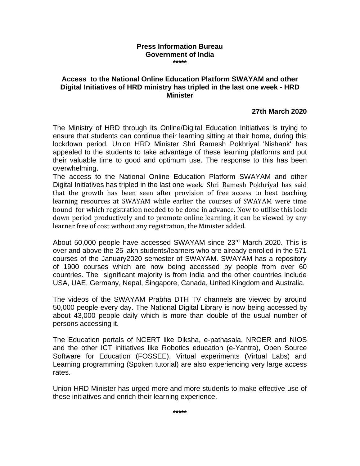## **Press Information Bureau Government of India \*\*\*\*\***

## **Access to the National Online Education Platform SWAYAM and other Digital Initiatives of HRD ministry has tripled in the last one week - HRD Minister**

## **27th March 2020**

The Ministry of HRD through its Online/Digital Education Initiatives is trying to ensure that students can continue their learning sitting at their home, during this lockdown period. Union HRD Minister Shri Ramesh Pokhriyal 'Nishank' has appealed to the students to take advantage of these learning platforms and put their valuable time to good and optimum use. The response to this has been overwhelming.

The access to the National Online Education Platform SWAYAM and other Digital Initiatives has tripled in the last one week. Shri Ramesh Pokhriyal has said that the growth has been seen after provision of free access to best teaching learning resources at SWAYAM while earlier the courses of SWAYAM were time bound for which registration needed to be done in advance. Now to utilise this lock down period productively and to promote online learning, it can be viewed by any learner free of cost without any registration, the Minister added.

About 50,000 people have accessed SWAYAM since 23<sup>rd</sup> March 2020. This is over and above the 25 lakh students/learners who are already enrolled in the 571 courses of the January2020 semester of SWAYAM. SWAYAM has a repository of 1900 courses which are now being accessed by people from over 60 countries. The significant majority is from India and the other countries include USA, UAE, Germany, Nepal, Singapore, Canada, United Kingdom and Australia.

The videos of the SWAYAM Prabha DTH TV channels are viewed by around 50,000 people every day. The National Digital Library is now being accessed by about 43,000 people daily which is more than double of the usual number of persons accessing it.

The Education portals of NCERT like Diksha, e-pathasala, NROER and NIOS and the other ICT initiatives like Robotics education (e-Yantra), Open Source Software for Education (FOSSEE), Virtual experiments (Virtual Labs) and Learning programming (Spoken tutorial) are also experiencing very large access rates.

Union HRD Minister has urged more and more students to make effective use of these initiatives and enrich their learning experience.

**\*\*\*\*\***